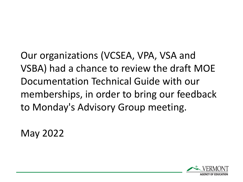Our organizations (VCSEA, VPA, VSA and VSBA) had a chance to review the draft MOE Documentation Technical Guide with our memberships, in order to bring our feedback to Monday's Advisory Group meeting.

May 2022

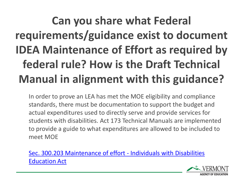#### **Can you share what Federal requirements/guidance exist to document IDEA Maintenance of Effort as required by federal rule? How is the Draft Technical Manual in alignment with this guidance?**

In order to prove an LEA has met the MOE eligibility and compliance standards, there must be documentation to support the budget and actual expenditures used to directly serve and provide services for students with disabilities. Act 173 Technical Manuals are implemented to provide a guide to what expenditures are allowed to be included to meet MOE

[Sec. 300.203 Maintenance of effort -](https://sites.ed.gov/idea/regs/b/c/300.203) Individuals with Disabilities Education Act

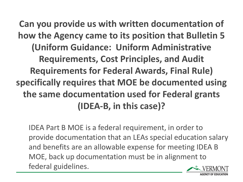**Can you provide us with written documentation of how the Agency came to its position that Bulletin 5 (Uniform Guidance: Uniform Administrative Requirements, Cost Principles, and Audit Requirements for Federal Awards, Final Rule) specifically requires that MOE be documented using the same documentation used for Federal grants (IDEA-B, in this case)?**

IDEA Part B MOE is a federal requirement, in order to provide documentation that an LEAs special education salary and benefits are an allowable expense for meeting IDEA B MOE, back up documentation must be in alignment to federal guidelines.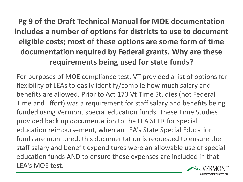#### **Pg 9 of the Draft Technical Manual for MOE documentation includes a number of options for districts to use to document eligible costs; most of these options are some form of time documentation required by Federal grants. Why are these requirements being used for state funds?**

For purposes of MOE compliance test, VT provided a list of options for flexibility of LEAs to easily identify/compile how much salary and benefits are allowed. Prior to Act 173 Vt Time Studies (not Federal Time and Effort) was a requirement for staff salary and benefits being funded using Vermont special education funds. These Time Studies provided back up documentation to the LEA SEER for special education reimbursement, when an LEA's State Special Education funds are monitored, this documentation is requested to ensure the staff salary and benefit expenditures were an allowable use of special education funds AND to ensure those expenses are included in that LEA's MOE test.

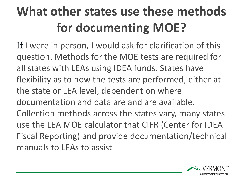# **What other states use these methods for documenting MOE?**

If I were in person, I would ask for clarification of this question. Methods for the MOE tests are required for all states with LEAs using IDEA funds. States have flexibility as to how the tests are performed, either at the state or LEA level, dependent on where documentation and data are and are available. Collection methods across the states vary, many states use the LEA MOE calculator that CIFR (Center for IDEA Fiscal Reporting) and provide documentation/technical manuals to LEAs to assist

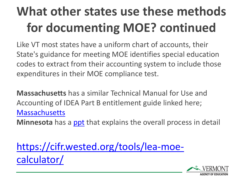## **What other states use these methods for documenting MOE? continued**

Like VT most states have a uniform chart of accounts, their State's guidance for meeting MOE identifies special education codes to extract from their accounting system to include those expenditures in their MOE compliance test.

**Massachusetts** has a similar Technical Manual for Use and Accounting of IDEA Part B entitlement guide linked here; **[Massachusetts](https://view.officeapps.live.com/op/view.aspx?src=https%3A%2F%2Fwww.doe.mass.edu%2Ffederalgrants%2Fidea%2Fresources%2Fallowablecosts.docx&wdOrigin=BROWSELINK)** 

**Minnesota** has a [ppt](https://cdn.ymaws.com/www.mnasbo.org/resource/resmgr/2020-conferences/annual/DBerger-Presentation-2020-05.pdf) that explains the overall process in detail

[https://cifr.wested.org/tools/lea-moe](https://cifr.wested.org/tools/lea-moe-calculator/)calculator/